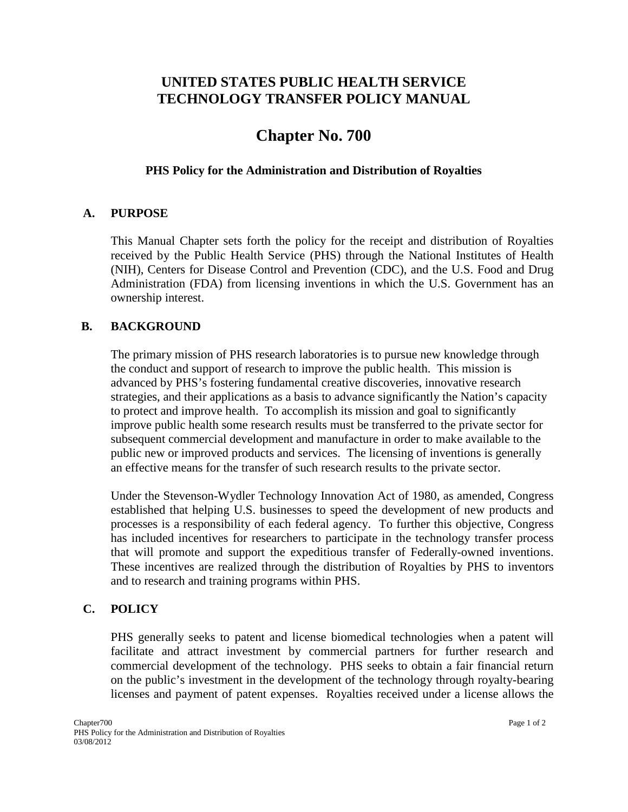## **UNITED STATES PUBLIC HEALTH SERVICE TECHNOLOGY TRANSFER POLICY MANUAL**

# **Chapter No. 700**

#### **PHS Policy for the Administration and Distribution of Royalties**

#### **A. PURPOSE**

This Manual Chapter sets forth the policy for the receipt and distribution of Royalties received by the Public Health Service (PHS) through the National Institutes of Health (NIH), Centers for Disease Control and Prevention (CDC), and the U.S. Food and Drug Administration (FDA) from licensing inventions in which the U.S. Government has an ownership interest.

#### **B. BACKGROUND**

The primary mission of PHS research laboratories is to pursue new knowledge through the conduct and support of research to improve the public health. This mission is advanced by PHS's fostering fundamental creative discoveries, innovative research strategies, and their applications as a basis to advance significantly the Nation's capacity to protect and improve health. To accomplish its mission and goal to significantly improve public health some research results must be transferred to the private sector for subsequent commercial development and manufacture in order to make available to the public new or improved products and services. The licensing of inventions is generally an effective means for the transfer of such research results to the private sector.

Under the Stevenson-Wydler Technology Innovation Act of 1980, as amended, Congress established that helping U.S. businesses to speed the development of new products and processes is a responsibility of each federal agency. To further this objective, Congress has included incentives for researchers to participate in the technology transfer process that will promote and support the expeditious transfer of Federally-owned inventions. These incentives are realized through the distribution of Royalties by PHS to inventors and to research and training programs within PHS.

#### **C. POLICY**

PHS generally seeks to patent and license biomedical technologies when a patent will facilitate and attract investment by commercial partners for further research and commercial development of the technology. PHS seeks to obtain a fair financial return on the public's investment in the development of the technology through royalty-bearing licenses and payment of patent expenses. Royalties received under a license allows the